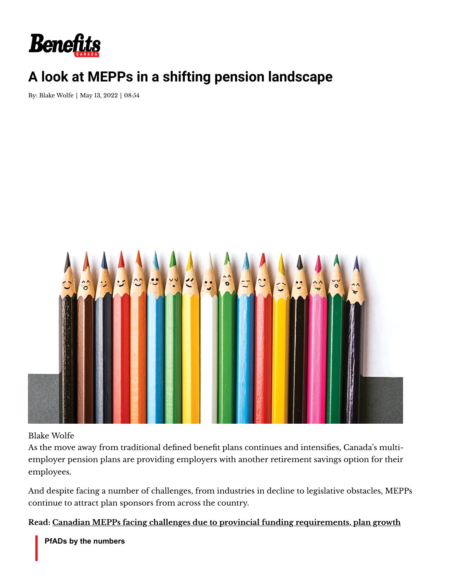

# **A look at MEPPs in a shifting pension landscape**

By: Blake [Wolfe](https://www.benefitscanada.com/writer/blake-wolfe-26/) | May 13, 2022 | 08:54



#### Blake Wolfe

As the move away from traditional defined benefit plans continues and intensifies, Canada's multiemployer pension plans are providing employers with another retirement savings option for their employees.

And despite facing a number of challenges, from industries in decline to legislative obstacles, MEPPs continue to attract plan sponsors from across the country.

**Read: Canadian MEPPs facing challenges due to provincial funding [requirements,](https://www.benefitscanada.com/news/bencan/canadian-mepps-facing-challenges-due-to-provincial-funding-requirements-plan-growth/) plan growth**

**PfADs by the numbers**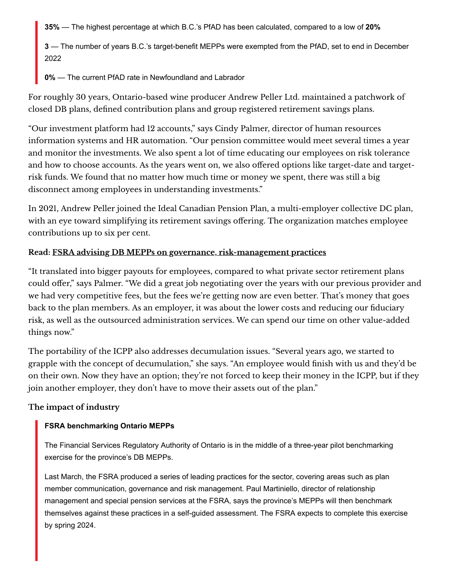**35%** — The highest percentage at which B.C.'s PfAD has been calculated, compared to a low of **20%**

**3** — The number of years B.C.'s target-benefit MEPPs were exempted from the PfAD, set to end in December 2022

**0%** — The current PfAD rate in Newfoundland and Labrador

For roughly 30 years, Ontario-based wine producer Andrew Peller Ltd. maintained a patchwork of closed DB plans, defined contribution plans and group registered retirement savings plans.

"Our investment platform had 12 accounts," says Cindy Palmer, director of human resources information systems and HR automation. "Our pension committee would meet several times a year and monitor the investments. We also spent a lot of time educating our employees on risk tolerance and how to choose accounts. As the years went on, we also offered options like target-date and targetrisk funds. We found that no matter how much time or money we spent, there was still a big disconnect among employees in understanding investments."

In 2021, Andrew Peller joined the Ideal Canadian Pension Plan, a multi-employer collective DC plan, with an eye toward simplifying its retirement savings offering. The organization matches employee contributions up to six per cent.

## **Read: FSRA advising DB MEPPs on governance, [risk-management](https://www.benefitscanada.com/news/cir-news-news/fsra-advising-db-mepps-on-governance-risk-management-practices/) practices**

"It translated into bigger payouts for employees, compared to what private sector retirement plans could offer," says Palmer. "We did a great job negotiating over the years with our previous provider and we had very competitive fees, but the fees we're getting now are even better. That's money that goes back to the plan members. As an employer, it was about the lower costs and reducing our fiduciary risk, as well as the outsourced administration services. We can spend our time on other value-added things now."

The portability of the ICPP also addresses decumulation issues. "Several years ago, we started to grapple with the concept of decumulation," she says. "An employee would finish with us and they'd be on their own. Now they have an option; they're not forced to keep their money in the ICPP, but if they join another employer, they don't have to move their assets out of the plan."

#### **The impact of industry**

#### **FSRA benchmarking Ontario MEPPs**

The Financial Services Regulatory Authority of Ontario is in the middle of a three-year pilot benchmarking exercise for the province's DB MEPPs.

Last March, the FSRA produced a series of leading practices for the sector, covering areas such as plan member communication, governance and risk management. Paul Martiniello, director of relationship management and special pension services at the FSRA, says the province's MEPPs will then benchmark themselves against these practices in a self-guided assessment. The FSRA expects to complete this exercise by spring 2024.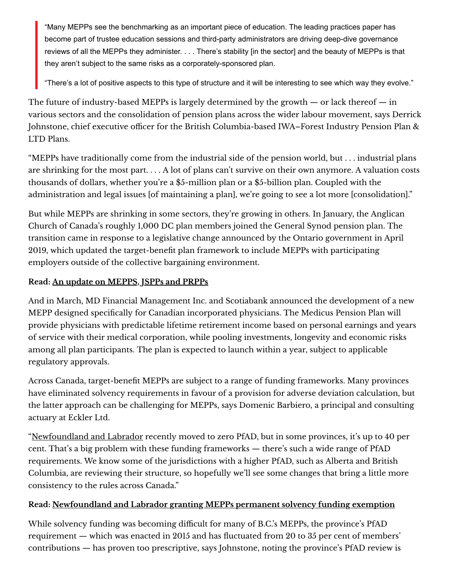"Many MEPPs see the benchmarking as an important piece of education. The leading practices paper has become part of trustee education sessions and third-party administrators are driving deep-dive governance reviews of all the MEPPs they administer. . . . There's stability [in the sector] and the beauty of MEPPs is that they aren't subject to the same risks as a corporately-sponsored plan.

"There's a lot of positive aspects to this type of structure and it will be interesting to see which way they evolve."

The future of industry-based MEPPs is largely determined by the growth  $-$  or lack thereof  $-$  in various sectors and the consolidation of pension plans across the wider labour movement, says Derrick Johnstone, chief executive officer for the British Columbia-based IWA–Forest Industry Pension Plan & LTD Plans.

"MEPPs have traditionally come from the industrial side of the pension world, but . . . industrial plans are shrinking for the most part. . . . A lot of plans can't survive on their own anymore. A valuation costs thousands of dollars, whether you're a \$5-million plan or a \$5-billion plan. Coupled with the administration and legal issues [of maintaining a plan], we're going to see a lot more [consolidation]."

But while MEPPs are shrinking in some sectors, they're growing in others. In January, the Anglican Church of Canada's roughly 1,000 DC plan members joined the General Synod pension plan. The transition came in response to a legislative change announced by the Ontario government in April 2019, which updated the target-benefit plan framework to include MEPPs with participating employers outside of the collective bargaining environment.

## **Read: An update on [MEPPS,](https://www.benefitscanada.com/news/bencan/an-update-on-mepps-jspps-and-prpps/) JSPPs and PRPPs**

And in March, MD Financial Management Inc. and Scotiabank announced the development of a new MEPP designed specifically for Canadian incorporated physicians. The Medicus Pension Plan will provide physicians with predictable lifetime retirement income based on personal earnings and years of service with their medical corporation, while pooling investments, longevity and economic risks among all plan participants. The plan is expected to launch within a year, subject to applicable regulatory approvals.

Across Canada, target-benefit MEPPs are subject to a range of funding frameworks. Many provinces have eliminated solvency requirements in favour of a provision for adverse deviation calculation, but the latter approach can be challenging for MEPPs, says Domenic Barbiero, a principal and consulting actuary at Eckler Ltd.

["Newfoundland](https://www.benefitscanada.com/pensions/governance-law/newfoundland-and-labrador-granting-mepps-permanent-solvency-funding-exemption/) and Labrador recently moved to zero PfAD, but in some provinces, it's up to 40 per cent. That's a big problem with these funding frameworks — there's such a wide range of PfAD requirements. We know some of the jurisdictions with a higher PfAD, such as Alberta and British Columbia, are reviewing their structure, so hopefully we'll see some changes that bring a little more consistency to the rules across Canada."

#### **Read: [Newfoundland](https://www.benefitscanada.com/pensions/governance-law/newfoundland-and-labrador-granting-mepps-permanent-solvency-funding-exemption/) and Labrador granting MEPPs permanent solvency funding exemption**

While solvency funding was becoming difficult for many of B.C.'s MEPPs, the province's PfAD requirement — which was enacted in 2015 and has fluctuated from 20 to 35 per cent of members' contributions — has proven too prescriptive, says Johnstone, noting the province's PfAD review is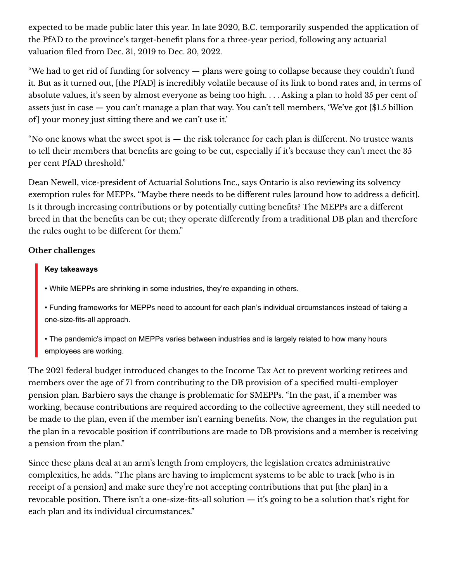expected to be made public later this year. In late 2020, B.C. temporarily suspended the application of the PfAD to the province's target-benefit plans for a three-year period, following any actuarial valuation filed from Dec. 31, 2019 to Dec. 30, 2022.

"We had to get rid of funding for solvency — plans were going to collapse because they couldn't fund it. But as it turned out, [the PfAD] is incredibly volatile because of its link to bond rates and, in terms of absolute values, it's seen by almost everyone as being too high. . . . Asking a plan to hold 35 per cent of assets just in case — you can't manage a plan that way. You can't tell members, 'We've got [\$1.5 billion of | your money just sitting there and we can't use it.'

"No one knows what the sweet spot is — the risk tolerance for each plan is different. No trustee wants to tell their members that benefits are going to be cut, especially if it's because they can't meet the 35 per cent PfAD threshold."

Dean Newell, vice-president of Actuarial Solutions Inc., says Ontario is also reviewing its solvency exemption rules for MEPPs. "Maybe there needs to be different rules [around how to address a deficit]. Is it through increasing contributions or by potentially cutting benefits? The MEPPs are a different breed in that the benefits can be cut; they operate differently from a traditional DB plan and therefore the rules ought to be different for them."

#### **Other challenges**

#### **Key takeaways**

- While MEPPs are shrinking in some industries, they're expanding in others.
- Funding frameworks for MEPPs need to account for each plan's individual circumstances instead of taking a one-size-fits-all approach.
- The pandemic's impact on MEPPs varies between industries and is largely related to how many hours employees are working.

The 2021 federal budget introduced changes to the Income Tax Act to prevent working retirees and members over the age of 71 from contributing to the DB provision of a specified multi-employer pension plan. Barbiero says the change is problematic for SMEPPs. "In the past, if a member was working, because contributions are required according to the collective agreement, they still needed to be made to the plan, even if the member isn't earning benefits. Now, the changes in the regulation put the plan in a revocable position if contributions are made to DB provisions and a member is receiving a pension from the plan."

Since these plans deal at an arm's length from employers, the legislation creates administrative complexities, he adds. "The plans are having to implement systems to be able to track [who is in receipt of a pension] and make sure they're not accepting contributions that put [the plan] in a revocable position. There isn't a one-size-fits-all solution — it's going to be a solution that's right for each plan and its individual circumstances."